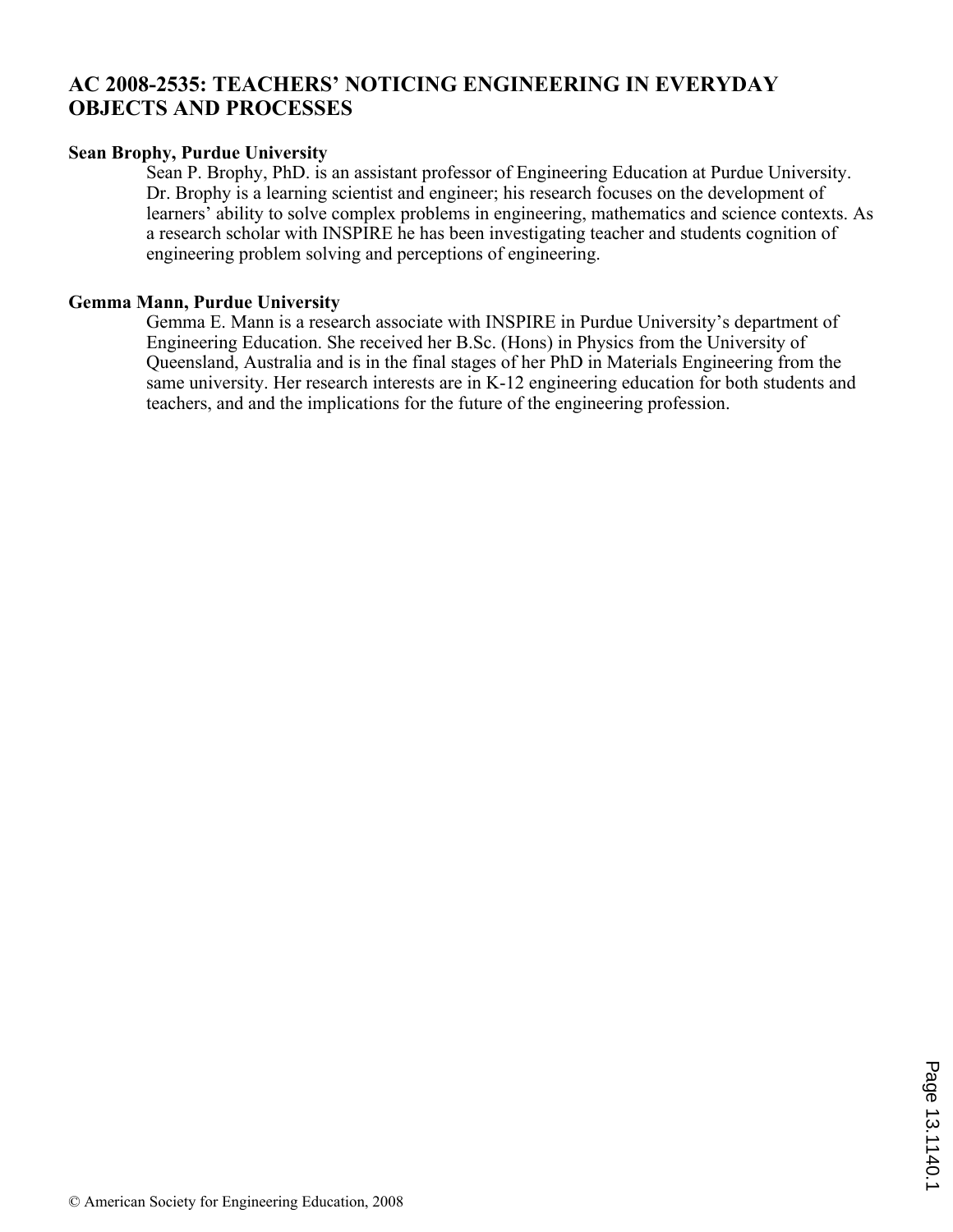## **AC 2008-2535: TEACHERS' NOTICING ENGINEERING IN EVERYDAY OBJECTS AND PROCESSES**

#### **Sean Brophy, Purdue University**

Sean P. Brophy, PhD. is an assistant professor of Engineering Education at Purdue University. Dr. Brophy is a learning scientist and engineer; his research focuses on the development of learners' ability to solve complex problems in engineering, mathematics and science contexts. As a research scholar with INSPIRE he has been investigating teacher and students cognition of engineering problem solving and perceptions of engineering.

#### **Gemma Mann, Purdue University**

Gemma E. Mann is a research associate with INSPIRE in Purdue University's department of Engineering Education. She received her B.Sc. (Hons) in Physics from the University of Queensland, Australia and is in the final stages of her PhD in Materials Engineering from the same university. Her research interests are in K-12 engineering education for both students and teachers, and and the implications for the future of the engineering profession.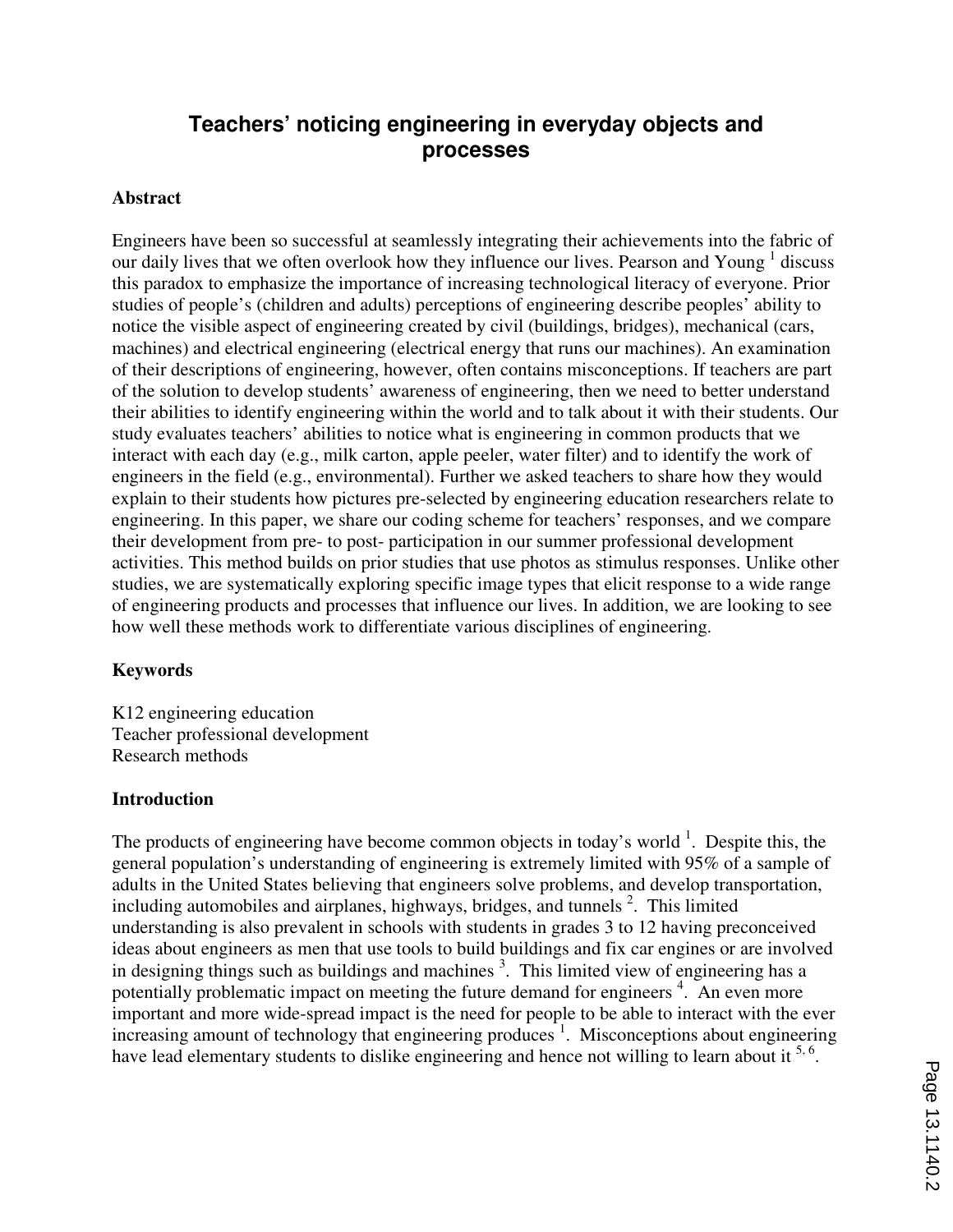# **Teachers' noticing engineering in everyday objects and processes**

#### **Abstract**

Engineers have been so successful at seamlessly integrating their achievements into the fabric of our daily lives that we often overlook how they influence our lives. Pearson and Young  $<sup>1</sup>$  discuss</sup> this paradox to emphasize the importance of increasing technological literacy of everyone. Prior studies of people's (children and adults) perceptions of engineering describe peoples' ability to notice the visible aspect of engineering created by civil (buildings, bridges), mechanical (cars, machines) and electrical engineering (electrical energy that runs our machines). An examination of their descriptions of engineering, however, often contains misconceptions. If teachers are part of the solution to develop students' awareness of engineering, then we need to better understand their abilities to identify engineering within the world and to talk about it with their students. Our study evaluates teachers' abilities to notice what is engineering in common products that we interact with each day (e.g., milk carton, apple peeler, water filter) and to identify the work of engineers in the field (e.g., environmental). Further we asked teachers to share how they would explain to their students how pictures pre-selected by engineering education researchers relate to engineering. In this paper, we share our coding scheme for teachers' responses, and we compare their development from pre- to post- participation in our summer professional development activities. This method builds on prior studies that use photos as stimulus responses. Unlike other studies, we are systematically exploring specific image types that elicit response to a wide range of engineering products and processes that influence our lives. In addition, we are looking to see how well these methods work to differentiate various disciplines of engineering.

#### **Keywords**

K12 engineering education Teacher professional development Research methods

#### **Introduction**

The products of engineering have become common objects in today's world  $\frac{1}{1}$ . Despite this, the general population's understanding of engineering is extremely limited with 95% of a sample of adults in the United States believing that engineers solve problems, and develop transportation, including automobiles and airplanes, highways, bridges, and tunnels  $2$ . This limited understanding is also prevalent in schools with students in grades 3 to 12 having preconceived ideas about engineers as men that use tools to build buildings and fix car engines or are involved in designing things such as buildings and machines  $3$ . This limited view of engineering has a potentially problematic impact on meeting the future demand for engineers<sup>4</sup>. An even more important and more wide-spread impact is the need for people to be able to interact with the ever increasing amount of technology that engineering produces  $\frac{1}{1}$ . Misconceptions about engineering have lead elementary students to dislike engineering and hence not willing to learn about it <sup>5, 6</sup>.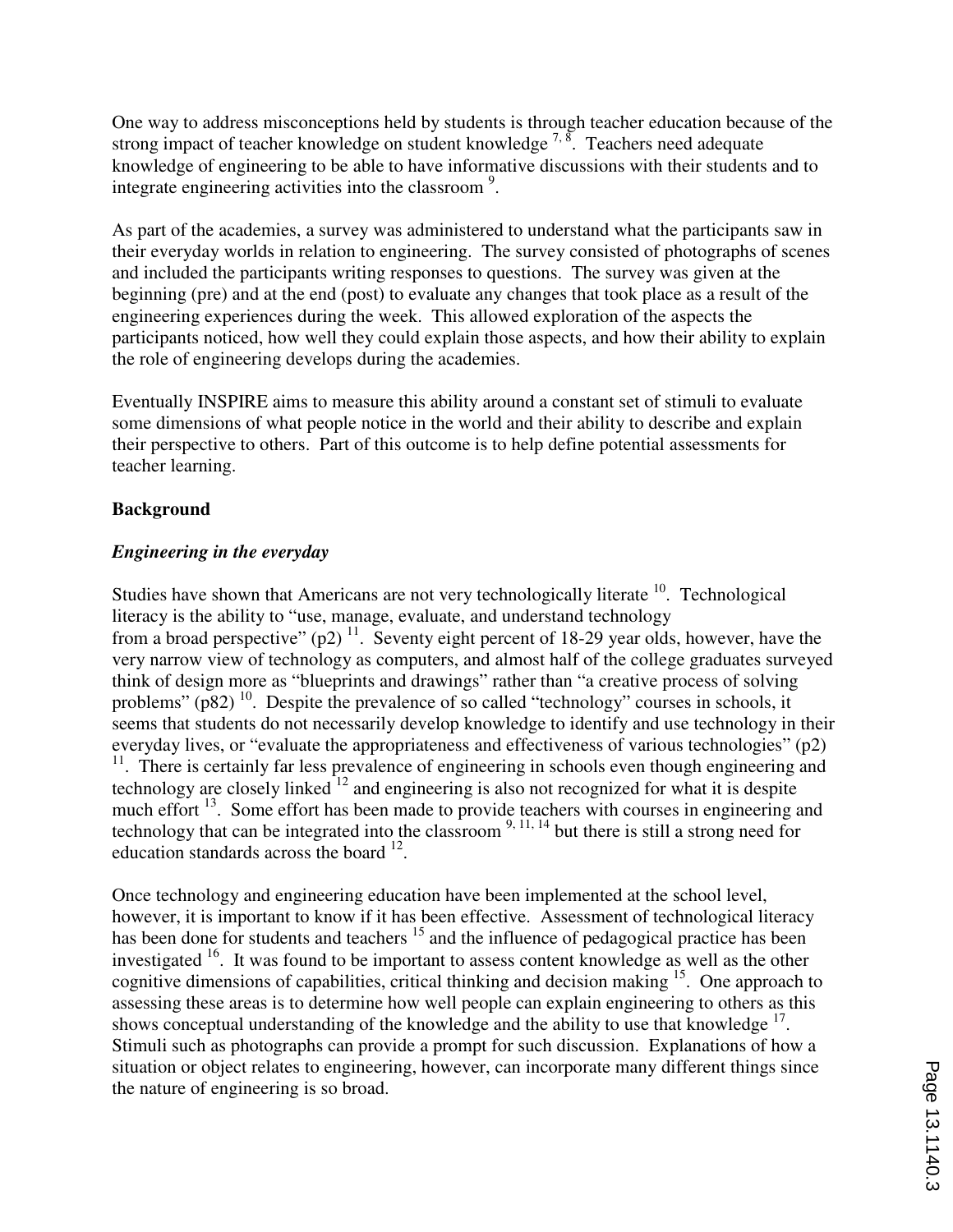One way to address misconceptions held by students is through teacher education because of the strong impact of teacher knowledge on student knowledge  $^{7, 8}$ . Teachers need adequate knowledge of engineering to be able to have informative discussions with their students and to integrate engineering activities into the classroom<sup>9</sup>.

As part of the academies, a survey was administered to understand what the participants saw in their everyday worlds in relation to engineering. The survey consisted of photographs of scenes and included the participants writing responses to questions. The survey was given at the beginning (pre) and at the end (post) to evaluate any changes that took place as a result of the engineering experiences during the week. This allowed exploration of the aspects the participants noticed, how well they could explain those aspects, and how their ability to explain the role of engineering develops during the academies.

Eventually INSPIRE aims to measure this ability around a constant set of stimuli to evaluate some dimensions of what people notice in the world and their ability to describe and explain their perspective to others. Part of this outcome is to help define potential assessments for teacher learning.

## **Background**

## *Engineering in the everyday*

Studies have shown that Americans are not very technologically literate  $10$ . Technological literacy is the ability to "use, manage, evaluate, and understand technology from a broad perspective"  $(p2)^{11}$ . Seventy eight percent of 18-29 year olds, however, have the very narrow view of technology as computers, and almost half of the college graduates surveyed think of design more as "blueprints and drawings" rather than "a creative process of solving problems" ( $p82$ )<sup>10</sup>. Despite the prevalence of so called "technology" courses in schools, it seems that students do not necessarily develop knowledge to identify and use technology in their everyday lives, or "evaluate the appropriateness and effectiveness of various technologies" (p2)  $11$ . There is certainly far less prevalence of engineering in schools even though engineering and technology are closely linked  $^{12}$  and engineering is also not recognized for what it is despite much effort <sup>13</sup>. Some effort has been made to provide teachers with courses in engineering and technology that can be integrated into the classroom  $9, 11, 14$  but there is still a strong need for education standards across the board  $^{12}$ .

Once technology and engineering education have been implemented at the school level, however, it is important to know if it has been effective. Assessment of technological literacy has been done for students and teachers <sup>15</sup> and the influence of pedagogical practice has been investigated  $16$ . It was found to be important to assess content knowledge as well as the other cognitive dimensions of capabilities, critical thinking and decision making <sup>15</sup>. One approach to assessing these areas is to determine how well people can explain engineering to others as this shows conceptual understanding of the knowledge and the ability to use that knowledge <sup>17</sup>. Stimuli such as photographs can provide a prompt for such discussion. Explanations of how a situation or object relates to engineering, however, can incorporate many different things since the nature of engineering is so broad.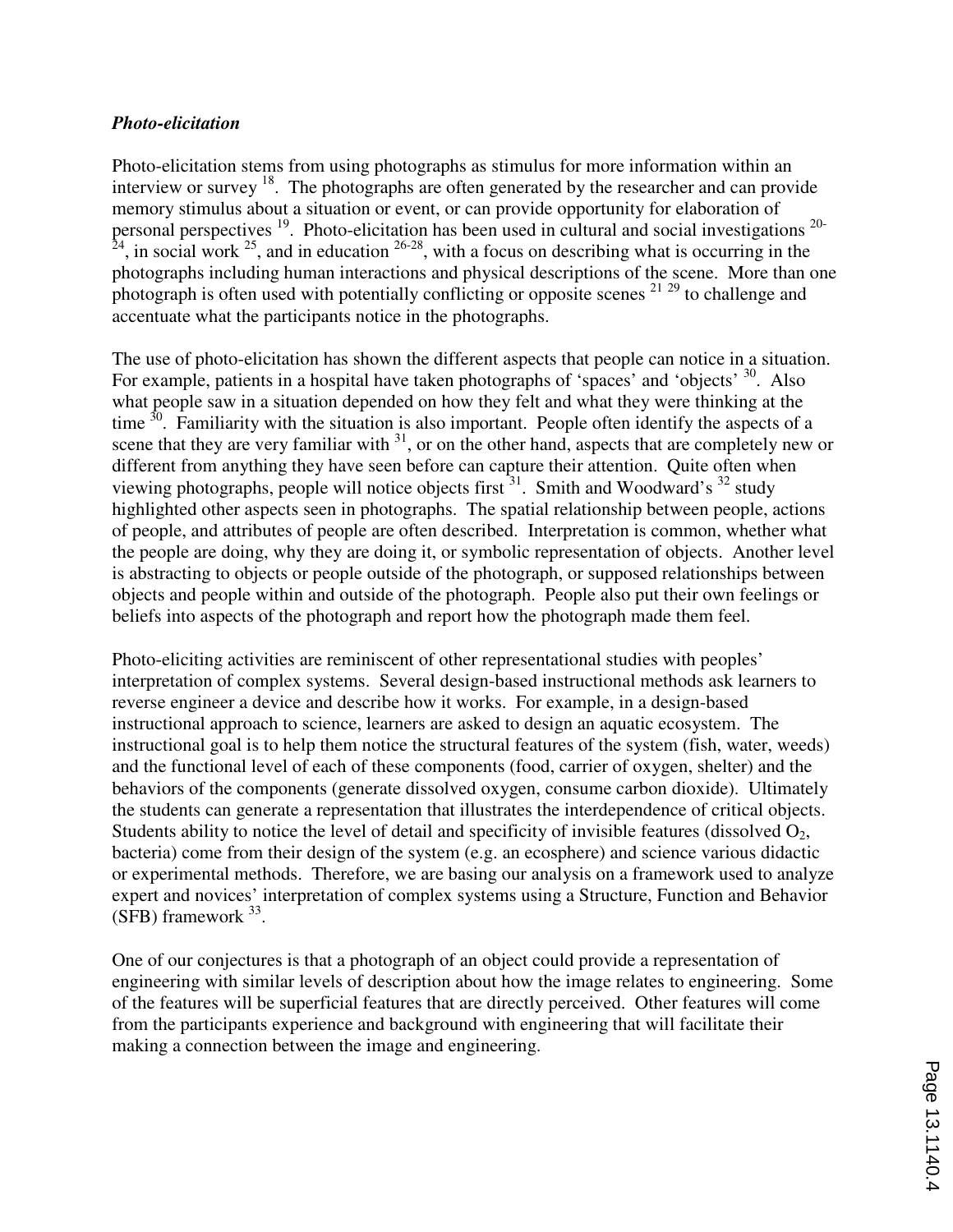#### *Photo-elicitation*

Photo-elicitation stems from using photographs as stimulus for more information within an interview or survey <sup>18</sup>. The photographs are often generated by the researcher and can provide memory stimulus about a situation or event, or can provide opportunity for elaboration of personal perspectives <sup>19</sup>. Photo-elicitation has been used in cultural and social investigations <sup>20-</sup>  $^{24}$ , in social work  $^{25}$ , and in education  $^{26-28}$ , with a focus on describing what is occurring in the photographs including human interactions and physical descriptions of the scene. More than one photograph is often used with potentially conflicting or opposite scenes  $2^{129}$  to challenge and accentuate what the participants notice in the photographs.

The use of photo-elicitation has shown the different aspects that people can notice in a situation. For example, patients in a hospital have taken photographs of 'spaces' and 'objects' <sup>30</sup>. Also what people saw in a situation depended on how they felt and what they were thinking at the time  $30$ . Familiarity with the situation is also important. People often identify the aspects of a scene that they are very familiar with  $31$ , or on the other hand, aspects that are completely new or different from anything they have seen before can capture their attention. Quite often when viewing photographs, people will notice objects first  $31$ . Smith and Woodward's  $32$  study highlighted other aspects seen in photographs. The spatial relationship between people, actions of people, and attributes of people are often described. Interpretation is common, whether what the people are doing, why they are doing it, or symbolic representation of objects. Another level is abstracting to objects or people outside of the photograph, or supposed relationships between objects and people within and outside of the photograph. People also put their own feelings or beliefs into aspects of the photograph and report how the photograph made them feel.

Photo-eliciting activities are reminiscent of other representational studies with peoples' interpretation of complex systems. Several design-based instructional methods ask learners to reverse engineer a device and describe how it works. For example, in a design-based instructional approach to science, learners are asked to design an aquatic ecosystem. The instructional goal is to help them notice the structural features of the system (fish, water, weeds) and the functional level of each of these components (food, carrier of oxygen, shelter) and the behaviors of the components (generate dissolved oxygen, consume carbon dioxide). Ultimately the students can generate a representation that illustrates the interdependence of critical objects. Students ability to notice the level of detail and specificity of invisible features (dissolved  $O_2$ , bacteria) come from their design of the system (e.g. an ecosphere) and science various didactic or experimental methods. Therefore, we are basing our analysis on a framework used to analyze expert and novices' interpretation of complex systems using a Structure, Function and Behavior  $(SFB)$  framework  $33$ .

One of our conjectures is that a photograph of an object could provide a representation of engineering with similar levels of description about how the image relates to engineering. Some of the features will be superficial features that are directly perceived. Other features will come from the participants experience and background with engineering that will facilitate their making a connection between the image and engineering.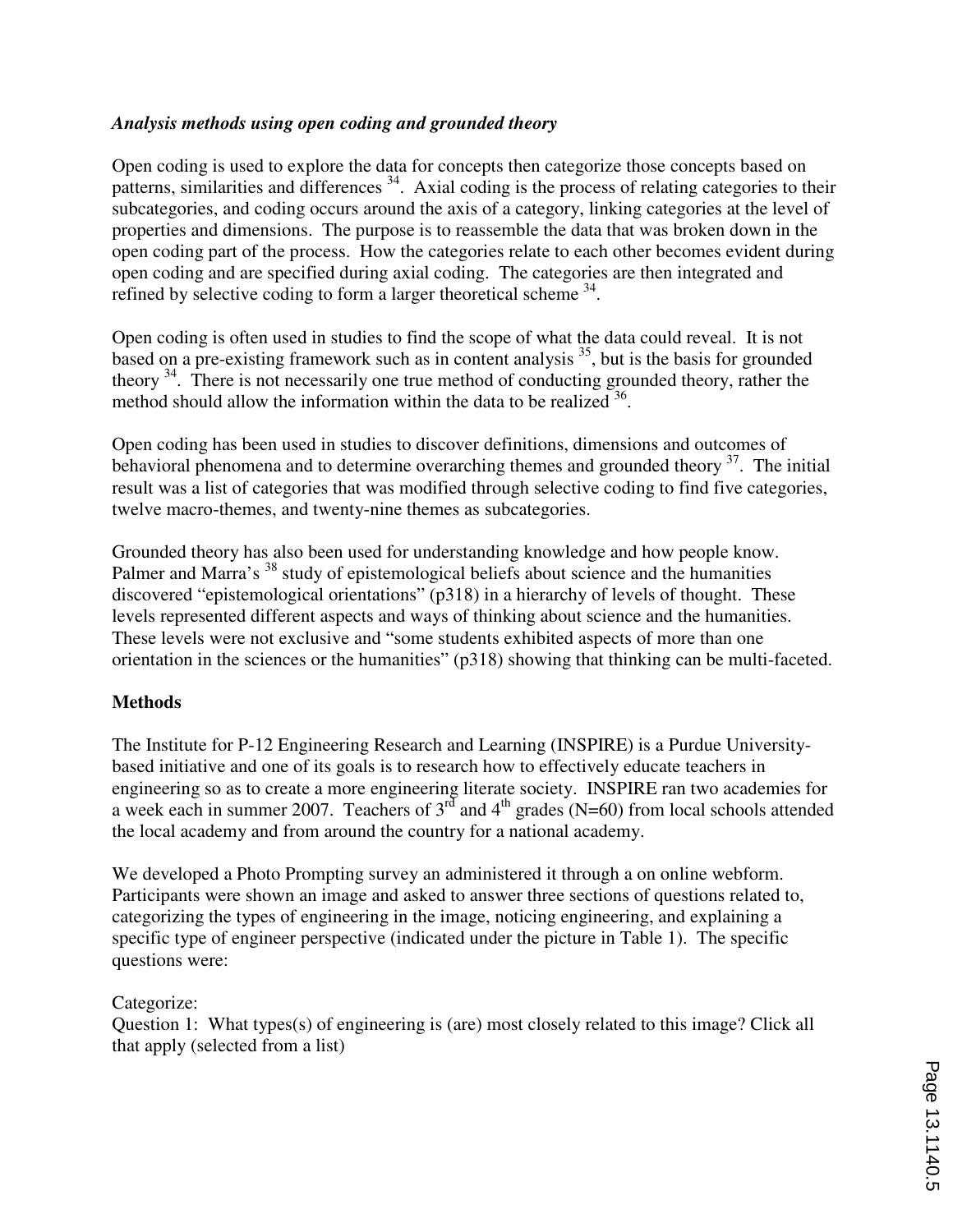### *Analysis methods using open coding and grounded theory*

Open coding is used to explore the data for concepts then categorize those concepts based on patterns, similarities and differences <sup>34</sup>. Axial coding is the process of relating categories to their subcategories, and coding occurs around the axis of a category, linking categories at the level of properties and dimensions. The purpose is to reassemble the data that was broken down in the open coding part of the process. How the categories relate to each other becomes evident during open coding and are specified during axial coding. The categories are then integrated and refined by selective coding to form a larger theoretical scheme  $34$ .

Open coding is often used in studies to find the scope of what the data could reveal. It is not based on a pre-existing framework such as in content analysis  $35$ , but is the basis for grounded theory  $34$ . There is not necessarily one true method of conducting grounded theory, rather the method should allow the information within the data to be realized  $36$ .

Open coding has been used in studies to discover definitions, dimensions and outcomes of behavioral phenomena and to determine overarching themes and grounded theory  $37$ . The initial result was a list of categories that was modified through selective coding to find five categories, twelve macro-themes, and twenty-nine themes as subcategories.

Grounded theory has also been used for understanding knowledge and how people know. Palmer and Marra's <sup>38</sup> study of epistemological beliefs about science and the humanities discovered "epistemological orientations" (p318) in a hierarchy of levels of thought. These levels represented different aspects and ways of thinking about science and the humanities. These levels were not exclusive and "some students exhibited aspects of more than one orientation in the sciences or the humanities" (p318) showing that thinking can be multi-faceted.

## **Methods**

The Institute for P-12 Engineering Research and Learning (INSPIRE) is a Purdue Universitybased initiative and one of its goals is to research how to effectively educate teachers in engineering so as to create a more engineering literate society. INSPIRE ran two academies for a week each in summer 2007. Teachers of  $3<sup>rd</sup>$  and  $4<sup>th</sup>$  grades (N=60) from local schools attended the local academy and from around the country for a national academy.

We developed a Photo Prompting survey an administered it through a on online webform. Participants were shown an image and asked to answer three sections of questions related to, categorizing the types of engineering in the image, noticing engineering, and explaining a specific type of engineer perspective (indicated under the picture in Table 1). The specific questions were:

#### Categorize:

Question 1: What types(s) of engineering is (are) most closely related to this image? Click all that apply (selected from a list)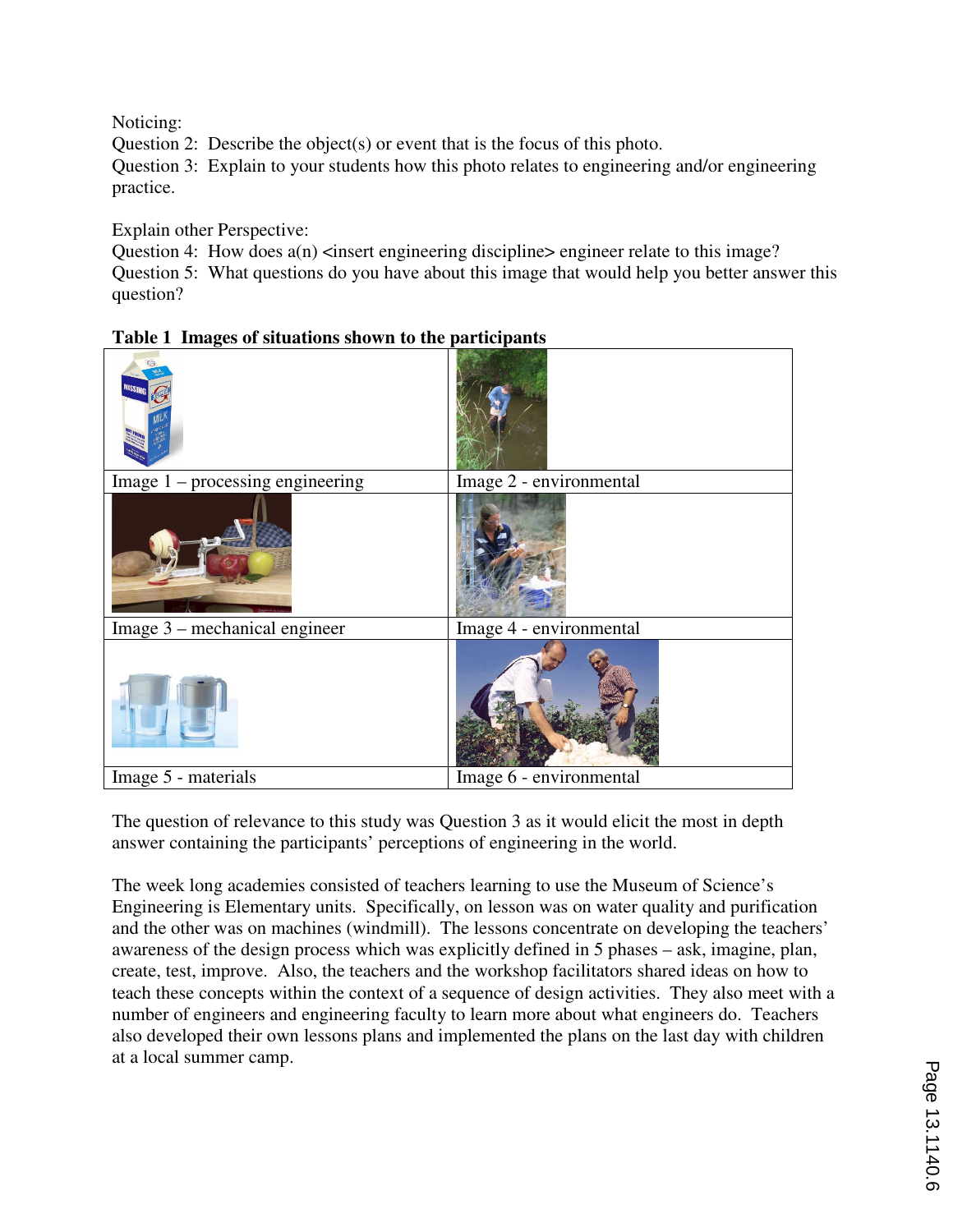Noticing:

Question 2: Describe the object(s) or event that is the focus of this photo.

Question 3: Explain to your students how this photo relates to engineering and/or engineering practice.

Explain other Perspective:

Question 4: How does  $a(n)$  <insert engineering discipline> engineer relate to this image? Question 5: What questions do you have about this image that would help you better answer this question?

|  | Table 1 Images of situations shown to the participants |  |  |
|--|--------------------------------------------------------|--|--|
|  |                                                        |  |  |

| Image $1$ – processing engineering | Image 2 - environmental |
|------------------------------------|-------------------------|
|                                    |                         |
| Image 3 – mechanical engineer      | Image 4 - environmental |
|                                    |                         |
| Image 5 - materials                | Image 6 - environmental |

The question of relevance to this study was Question 3 as it would elicit the most in depth answer containing the participants' perceptions of engineering in the world.

The week long academies consisted of teachers learning to use the Museum of Science's Engineering is Elementary units. Specifically, on lesson was on water quality and purification and the other was on machines (windmill). The lessons concentrate on developing the teachers' awareness of the design process which was explicitly defined in 5 phases – ask, imagine, plan, create, test, improve. Also, the teachers and the workshop facilitators shared ideas on how to teach these concepts within the context of a sequence of design activities. They also meet with a number of engineers and engineering faculty to learn more about what engineers do. Teachers also developed their own lessons plans and implemented the plans on the last day with children at a local summer camp.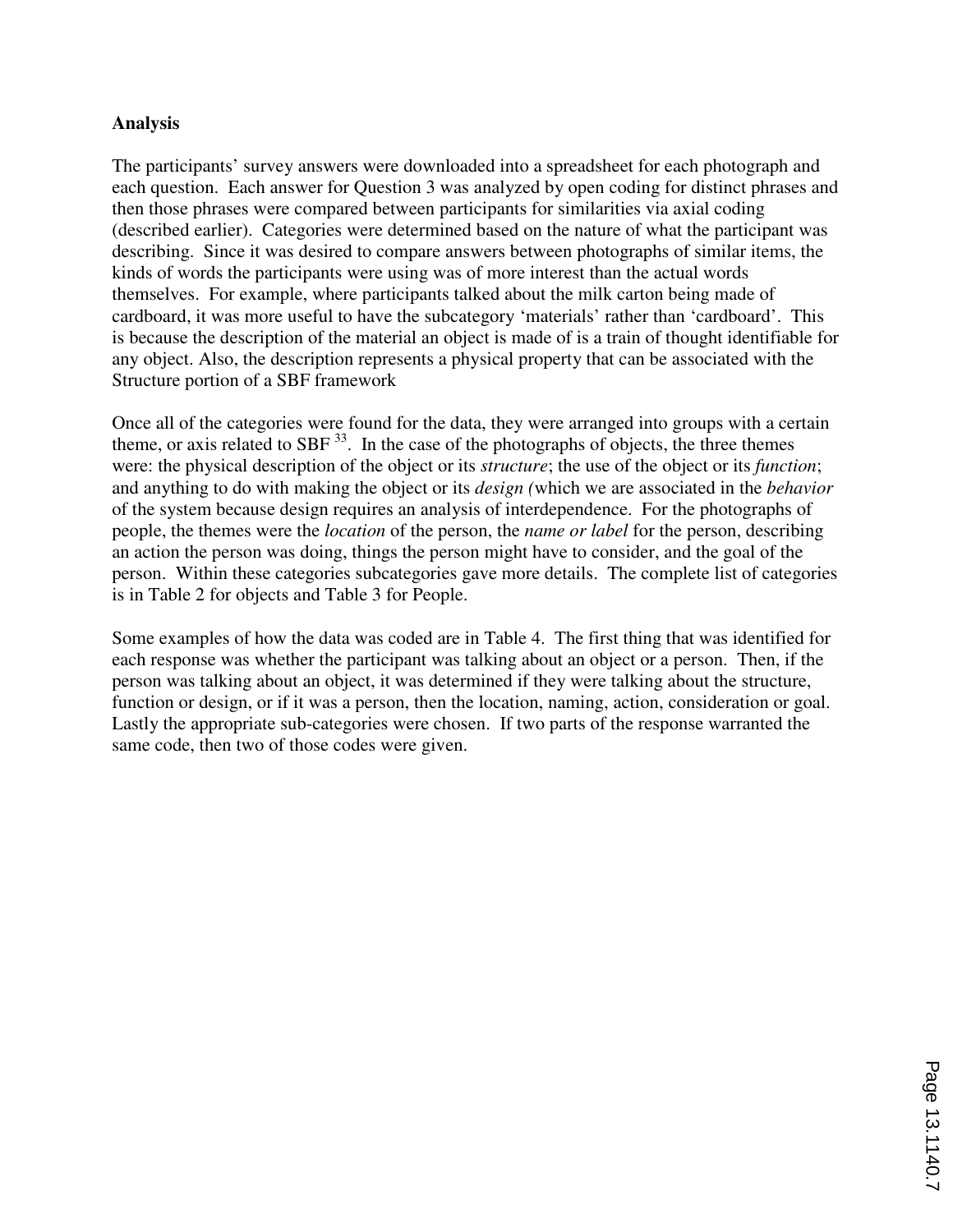#### **Analysis**

The participants' survey answers were downloaded into a spreadsheet for each photograph and each question. Each answer for Question 3 was analyzed by open coding for distinct phrases and then those phrases were compared between participants for similarities via axial coding (described earlier). Categories were determined based on the nature of what the participant was describing. Since it was desired to compare answers between photographs of similar items, the kinds of words the participants were using was of more interest than the actual words themselves. For example, where participants talked about the milk carton being made of cardboard, it was more useful to have the subcategory 'materials' rather than 'cardboard'. This is because the description of the material an object is made of is a train of thought identifiable for any object. Also, the description represents a physical property that can be associated with the Structure portion of a SBF framework

Once all of the categories were found for the data, they were arranged into groups with a certain theme, or axis related to SBF  $^{33}$ . In the case of the photographs of objects, the three themes were: the physical description of the object or its *structure*; the use of the object or its *function*; and anything to do with making the object or its *design (*which we are associated in the *behavior* of the system because design requires an analysis of interdependence. For the photographs of people, the themes were the *location* of the person, the *name or label* for the person, describing an action the person was doing, things the person might have to consider, and the goal of the person. Within these categories subcategories gave more details. The complete list of categories is in Table 2 for objects and Table 3 for People.

Some examples of how the data was coded are in Table 4. The first thing that was identified for each response was whether the participant was talking about an object or a person. Then, if the person was talking about an object, it was determined if they were talking about the structure, function or design, or if it was a person, then the location, naming, action, consideration or goal. Lastly the appropriate sub-categories were chosen. If two parts of the response warranted the same code, then two of those codes were given.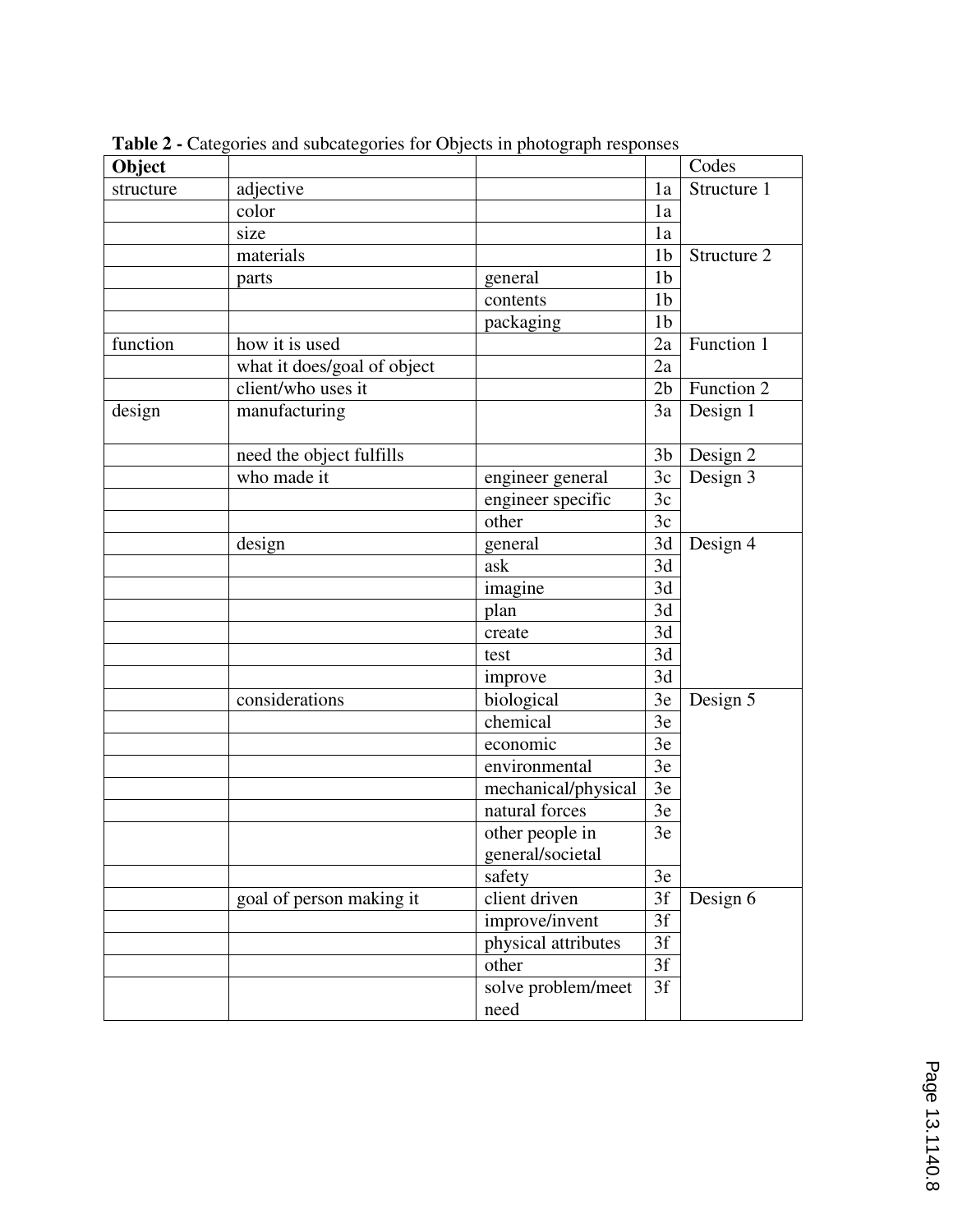| Object    |                             |                     |                 | Codes       |
|-----------|-----------------------------|---------------------|-----------------|-------------|
| structure | adjective                   |                     | 1a              | Structure 1 |
|           | color                       |                     | 1a              |             |
|           | size                        |                     | 1a              |             |
|           | materials                   |                     | 1 <sub>b</sub>  | Structure 2 |
|           | parts                       | general             | 1 <sub>b</sub>  |             |
|           |                             | contents            | 1 <sub>b</sub>  |             |
|           |                             | packaging           | 1 <sub>b</sub>  |             |
| function  | how it is used              |                     | 2a              | Function 1  |
|           | what it does/goal of object |                     | 2a              |             |
|           | client/who uses it          |                     | 2 <sub>b</sub>  | Function 2  |
| design    | manufacturing               |                     | 3a              | Design 1    |
|           | need the object fulfills    |                     | 3 <sub>b</sub>  | Design 2    |
|           | who made it                 | engineer general    | 3c              | Design 3    |
|           |                             | engineer specific   | 3c              |             |
|           |                             | other               | 3c              |             |
|           | design                      | general             | 3d              | Design 4    |
|           |                             | ask                 | 3d              |             |
|           |                             | imagine             | 3d              |             |
|           |                             | plan                | $\overline{3d}$ |             |
|           |                             | create              | 3d              |             |
|           |                             | test                | 3d              |             |
|           |                             | improve             | 3d              |             |
|           | considerations              | biological          | 3e              | Design 5    |
|           |                             | chemical            | 3e              |             |
|           |                             | economic            | 3e              |             |
|           |                             | environmental       | 3e              |             |
|           |                             | mechanical/physical | 3e              |             |
|           |                             | natural forces      | 3e              |             |
|           |                             | other people in     | 3e              |             |
|           |                             | general/societal    |                 |             |
|           |                             | safety              | 3e              |             |
|           | goal of person making it    | client driven       | 3f              | Design 6    |
|           |                             | improve/invent      | $\overline{3f}$ |             |
|           |                             | physical attributes |                 |             |
|           |                             | other               | 3f              |             |
|           |                             | solve problem/meet  | 3f              |             |
|           |                             | need                |                 |             |

**Table 2 -** Categories and subcategories for Objects in photograph responses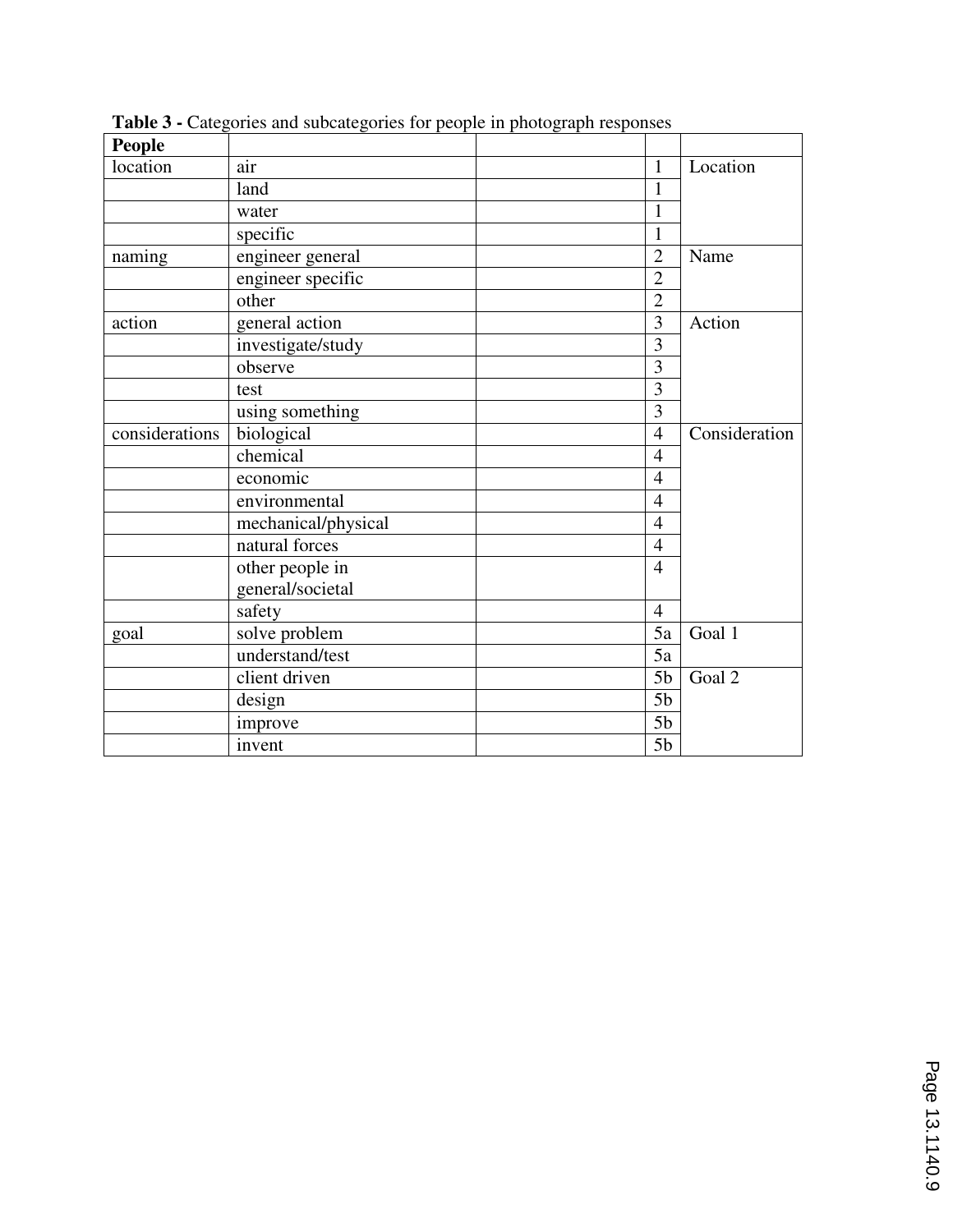| <b>People</b>  |                     |                |               |
|----------------|---------------------|----------------|---------------|
| location       | air                 | 1              | Location      |
|                | land                | $\mathbf{1}$   |               |
|                | water               | 1              |               |
|                | specific            | $\mathbf{1}$   |               |
| naming         | engineer general    | $\overline{2}$ | Name          |
|                | engineer specific   | $\overline{2}$ |               |
|                | other               | $\overline{2}$ |               |
| action         | general action      | $\overline{3}$ | Action        |
|                | investigate/study   | 3              |               |
|                | observe             | 3              |               |
|                | test                | $\overline{3}$ |               |
|                | using something     | $\overline{3}$ |               |
| considerations | biological          | $\overline{4}$ | Consideration |
|                | chemical            | $\overline{4}$ |               |
|                | economic            | $\overline{4}$ |               |
|                | environmental       | $\overline{4}$ |               |
|                | mechanical/physical | $\overline{4}$ |               |
|                | natural forces      | $\overline{4}$ |               |
|                | other people in     | $\overline{4}$ |               |
|                | general/societal    |                |               |
|                | safety              | $\overline{4}$ |               |
| goal           | solve problem       | 5a             | Goal 1        |
|                | understand/test     | 5a             |               |
|                | client driven       | 5 <sub>b</sub> | Goal 2        |
|                | design              | 5 <sub>b</sub> |               |
|                | improve             | 5 <sub>b</sub> |               |
|                | invent              | 5 <sub>b</sub> |               |

**Table 3 -** Categories and subcategories for people in photograph responses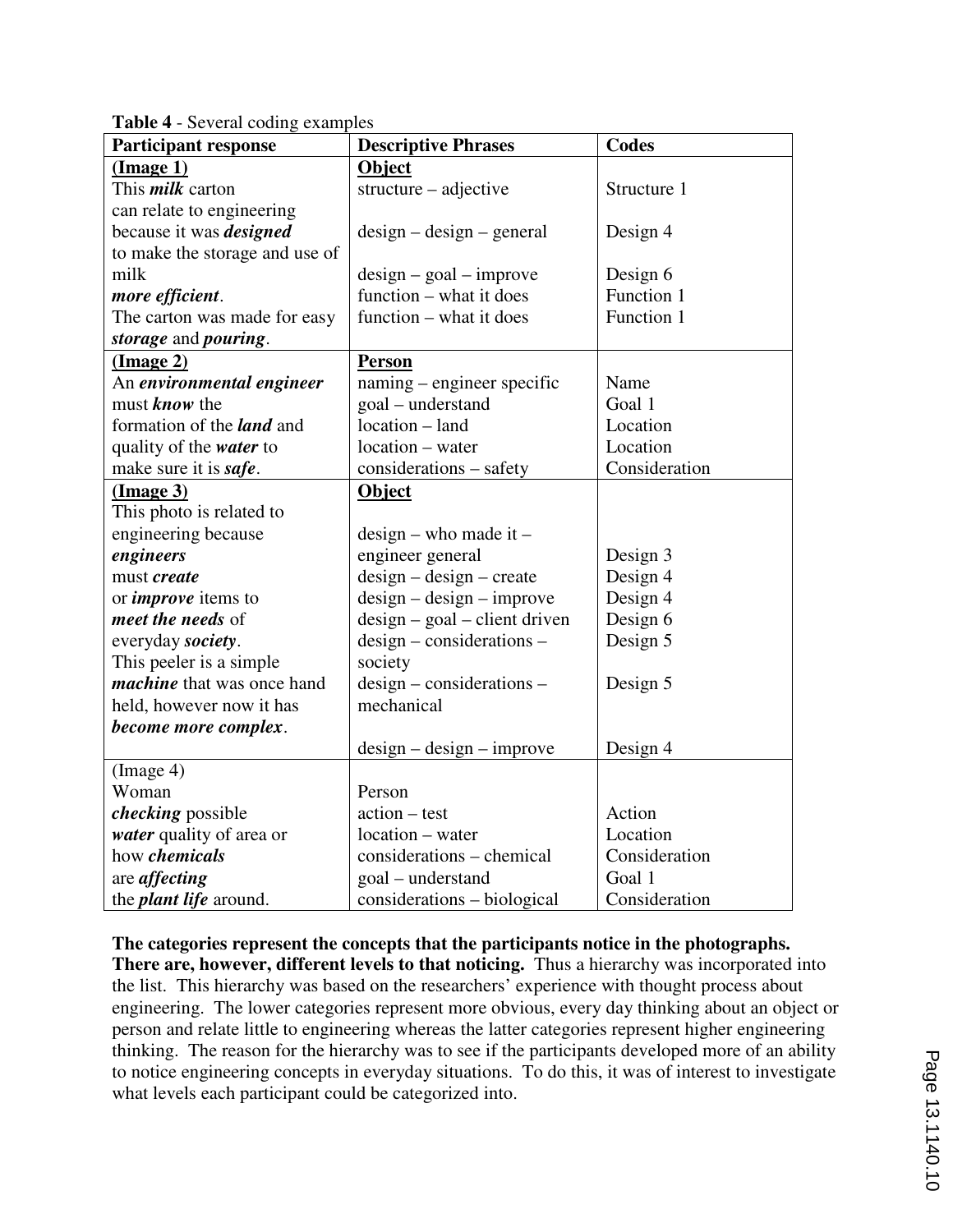| <b>Participant response</b>       | <b>Descriptive Phrases</b>      | <b>Codes</b>  |  |
|-----------------------------------|---------------------------------|---------------|--|
| $(\text{Image } 1)$               | <b>Object</b>                   |               |  |
| This <i>milk</i> carton           | structure – adjective           | Structure 1   |  |
| can relate to engineering         |                                 |               |  |
| because it was <i>designed</i>    | $design - design - general$     | Design 4      |  |
| to make the storage and use of    |                                 |               |  |
| milk                              | $design - goal - improve$       | Design 6      |  |
| more efficient.                   | function – what it does         | Function 1    |  |
| The carton was made for easy      | function – what it does         | Function 1    |  |
| storage and pouring.              |                                 |               |  |
| (Image 2)                         | <b>Person</b>                   |               |  |
| An environmental engineer         | naming – engineer specific      | Name          |  |
| must <b>know</b> the              | goal - understand               | Goal 1        |  |
| formation of the <i>land</i> and  | location – land                 | Location      |  |
| quality of the <i>water</i> to    | location – water                | Location      |  |
| make sure it is safe.             | considerations – safety         | Consideration |  |
| (Image 3)                         | Object                          |               |  |
| This photo is related to          |                                 |               |  |
| engineering because               | $design$ – who made it –        |               |  |
| engineers                         | engineer general                | Design 3      |  |
| must create                       | $design - design - create$      | Design 4      |  |
| or <i>improve</i> items to        | $design - design - improve$     | Design 4      |  |
| meet the needs of                 | $design - goal - client driven$ | Design 6      |  |
| everyday society.                 | $design-considerations –$       | Design 5      |  |
| This peeler is a simple.          | society                         |               |  |
| <i>machine</i> that was once hand | design - considerations -       | Design 5      |  |
| held, however now it has          | mechanical                      |               |  |
| become more complex.              |                                 |               |  |
|                                   | $design - design - improve$     | Design 4      |  |
| (Image 4)                         |                                 |               |  |
| Woman                             | Person                          |               |  |
| <i>checking</i> possible          | $action - test$                 | Action        |  |
| water quality of area or          | location - water                | Location      |  |
| how <i>chemicals</i>              | considerations – chemical       | Consideration |  |
| are <i>affecting</i>              | goal - understand               | Goal 1        |  |
| the <i>plant life</i> around.     | considerations – biological     | Consideration |  |

**Table 4** - Several coding examples

**The categories represent the concepts that the participants notice in the photographs. There are, however, different levels to that noticing.** Thus a hierarchy was incorporated into the list. This hierarchy was based on the researchers' experience with thought process about engineering. The lower categories represent more obvious, every day thinking about an object or person and relate little to engineering whereas the latter categories represent higher engineering thinking. The reason for the hierarchy was to see if the participants developed more of an ability to notice engineering concepts in everyday situations. To do this, it was of interest to investigate what levels each participant could be categorized into.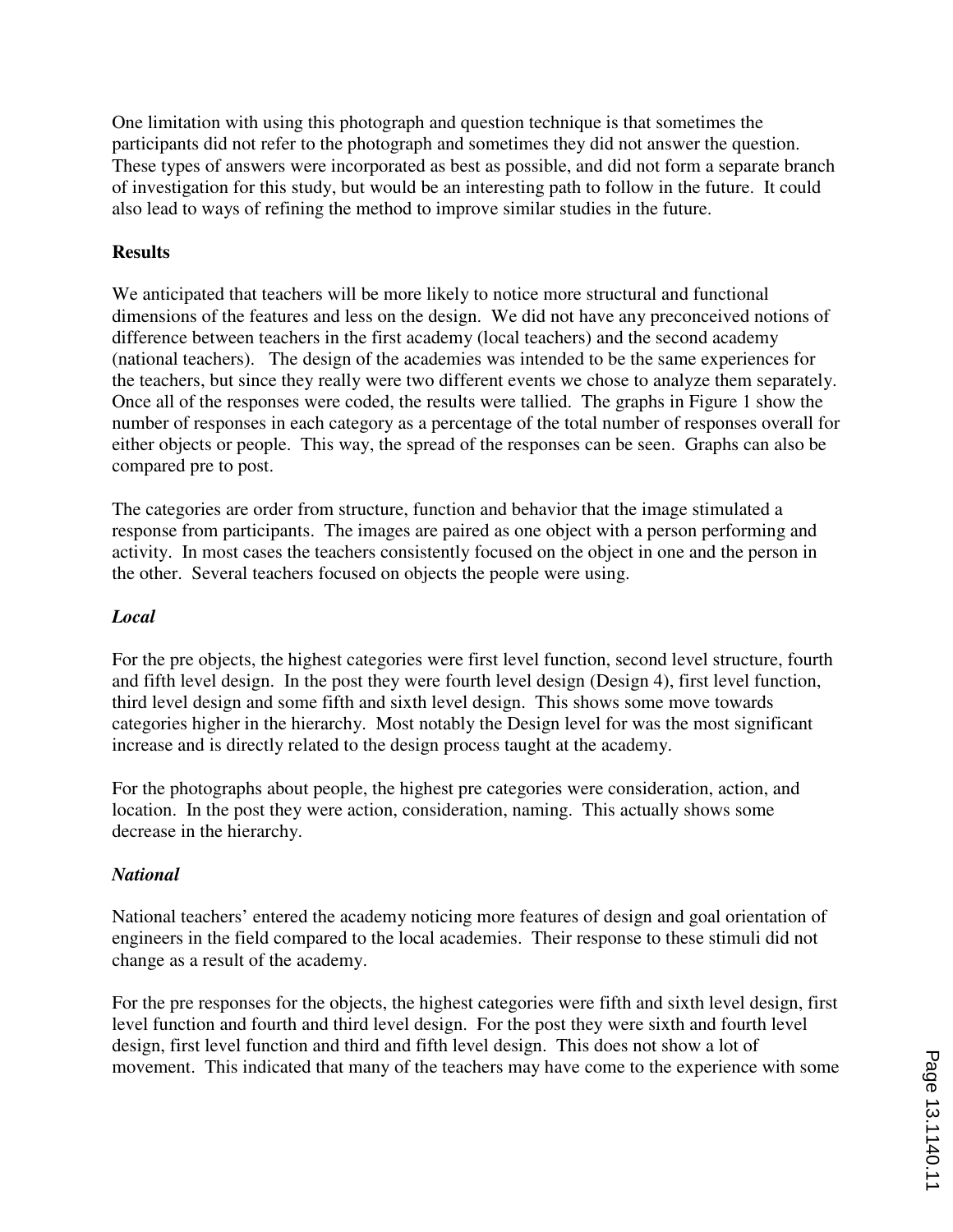One limitation with using this photograph and question technique is that sometimes the participants did not refer to the photograph and sometimes they did not answer the question. These types of answers were incorporated as best as possible, and did not form a separate branch of investigation for this study, but would be an interesting path to follow in the future. It could also lead to ways of refining the method to improve similar studies in the future.

## **Results**

We anticipated that teachers will be more likely to notice more structural and functional dimensions of the features and less on the design. We did not have any preconceived notions of difference between teachers in the first academy (local teachers) and the second academy (national teachers). The design of the academies was intended to be the same experiences for the teachers, but since they really were two different events we chose to analyze them separately. Once all of the responses were coded, the results were tallied. The graphs in Figure 1 show the number of responses in each category as a percentage of the total number of responses overall for either objects or people. This way, the spread of the responses can be seen. Graphs can also be compared pre to post.

The categories are order from structure, function and behavior that the image stimulated a response from participants. The images are paired as one object with a person performing and activity. In most cases the teachers consistently focused on the object in one and the person in the other. Several teachers focused on objects the people were using.

### *Local*

For the pre objects, the highest categories were first level function, second level structure, fourth and fifth level design. In the post they were fourth level design (Design 4), first level function, third level design and some fifth and sixth level design. This shows some move towards categories higher in the hierarchy. Most notably the Design level for was the most significant increase and is directly related to the design process taught at the academy.

For the photographs about people, the highest pre categories were consideration, action, and location. In the post they were action, consideration, naming. This actually shows some decrease in the hierarchy.

#### *National*

National teachers' entered the academy noticing more features of design and goal orientation of engineers in the field compared to the local academies. Their response to these stimuli did not change as a result of the academy.

For the pre responses for the objects, the highest categories were fifth and sixth level design, first level function and fourth and third level design. For the post they were sixth and fourth level design, first level function and third and fifth level design. This does not show a lot of movement. This indicated that many of the teachers may have come to the experience with some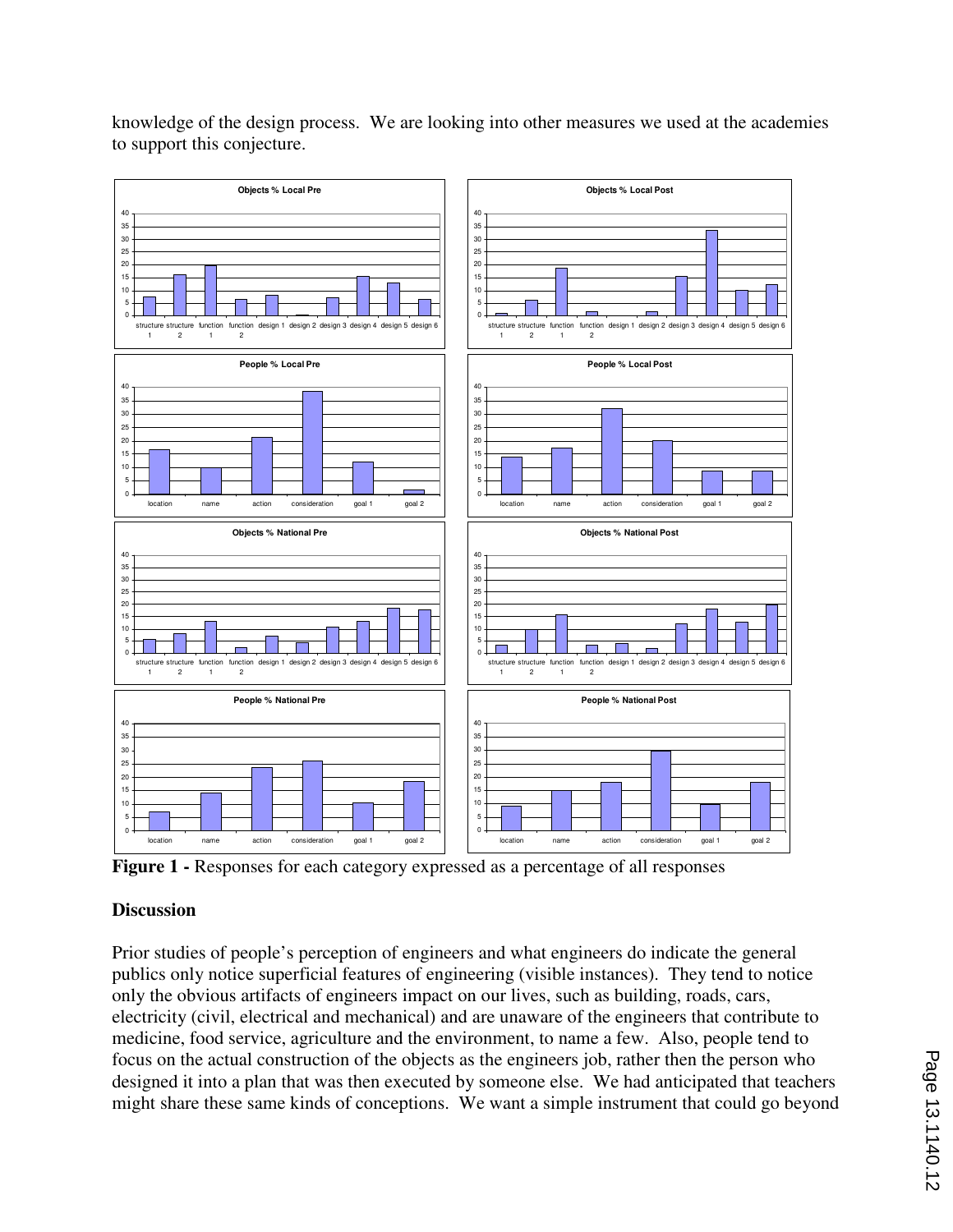

knowledge of the design process. We are looking into other measures we used at the academies to support this conjecture.

**Figure 1 -** Responses for each category expressed as a percentage of all responses

## **Discussion**

Prior studies of people's perception of engineers and what engineers do indicate the general publics only notice superficial features of engineering (visible instances). They tend to notice only the obvious artifacts of engineers impact on our lives, such as building, roads, cars, electricity (civil, electrical and mechanical) and are unaware of the engineers that contribute to medicine, food service, agriculture and the environment, to name a few. Also, people tend to focus on the actual construction of the objects as the engineers job, rather then the person who designed it into a plan that was then executed by someone else. We had anticipated that teachers might share these same kinds of conceptions. We want a simple instrument that could go beyond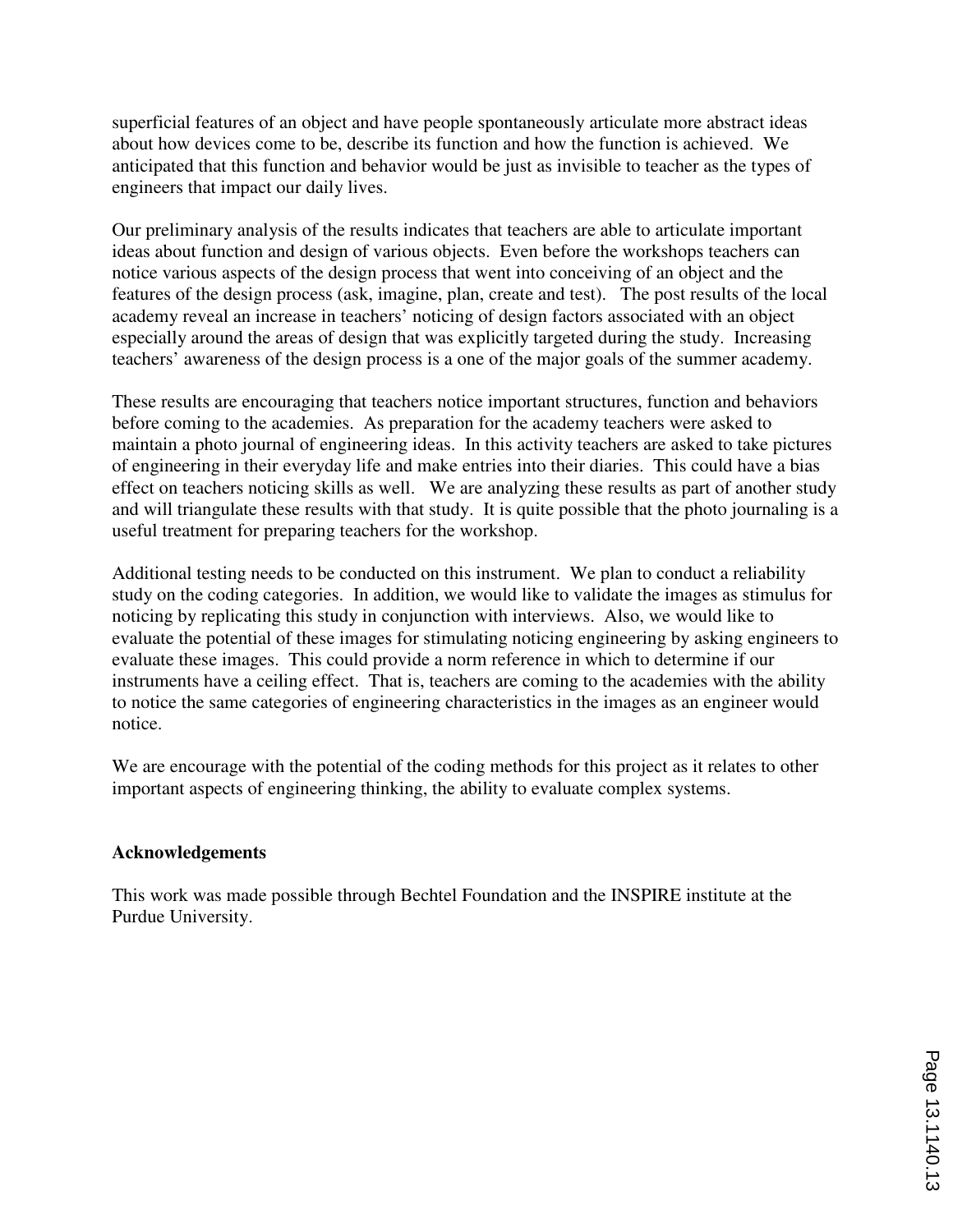superficial features of an object and have people spontaneously articulate more abstract ideas about how devices come to be, describe its function and how the function is achieved. We anticipated that this function and behavior would be just as invisible to teacher as the types of engineers that impact our daily lives.

Our preliminary analysis of the results indicates that teachers are able to articulate important ideas about function and design of various objects. Even before the workshops teachers can notice various aspects of the design process that went into conceiving of an object and the features of the design process (ask, imagine, plan, create and test). The post results of the local academy reveal an increase in teachers' noticing of design factors associated with an object especially around the areas of design that was explicitly targeted during the study. Increasing teachers' awareness of the design process is a one of the major goals of the summer academy.

These results are encouraging that teachers notice important structures, function and behaviors before coming to the academies. As preparation for the academy teachers were asked to maintain a photo journal of engineering ideas. In this activity teachers are asked to take pictures of engineering in their everyday life and make entries into their diaries. This could have a bias effect on teachers noticing skills as well. We are analyzing these results as part of another study and will triangulate these results with that study. It is quite possible that the photo journaling is a useful treatment for preparing teachers for the workshop.

Additional testing needs to be conducted on this instrument. We plan to conduct a reliability study on the coding categories. In addition, we would like to validate the images as stimulus for noticing by replicating this study in conjunction with interviews. Also, we would like to evaluate the potential of these images for stimulating noticing engineering by asking engineers to evaluate these images. This could provide a norm reference in which to determine if our instruments have a ceiling effect. That is, teachers are coming to the academies with the ability to notice the same categories of engineering characteristics in the images as an engineer would notice.

We are encourage with the potential of the coding methods for this project as it relates to other important aspects of engineering thinking, the ability to evaluate complex systems.

## **Acknowledgements**

This work was made possible through Bechtel Foundation and the INSPIRE institute at the Purdue University.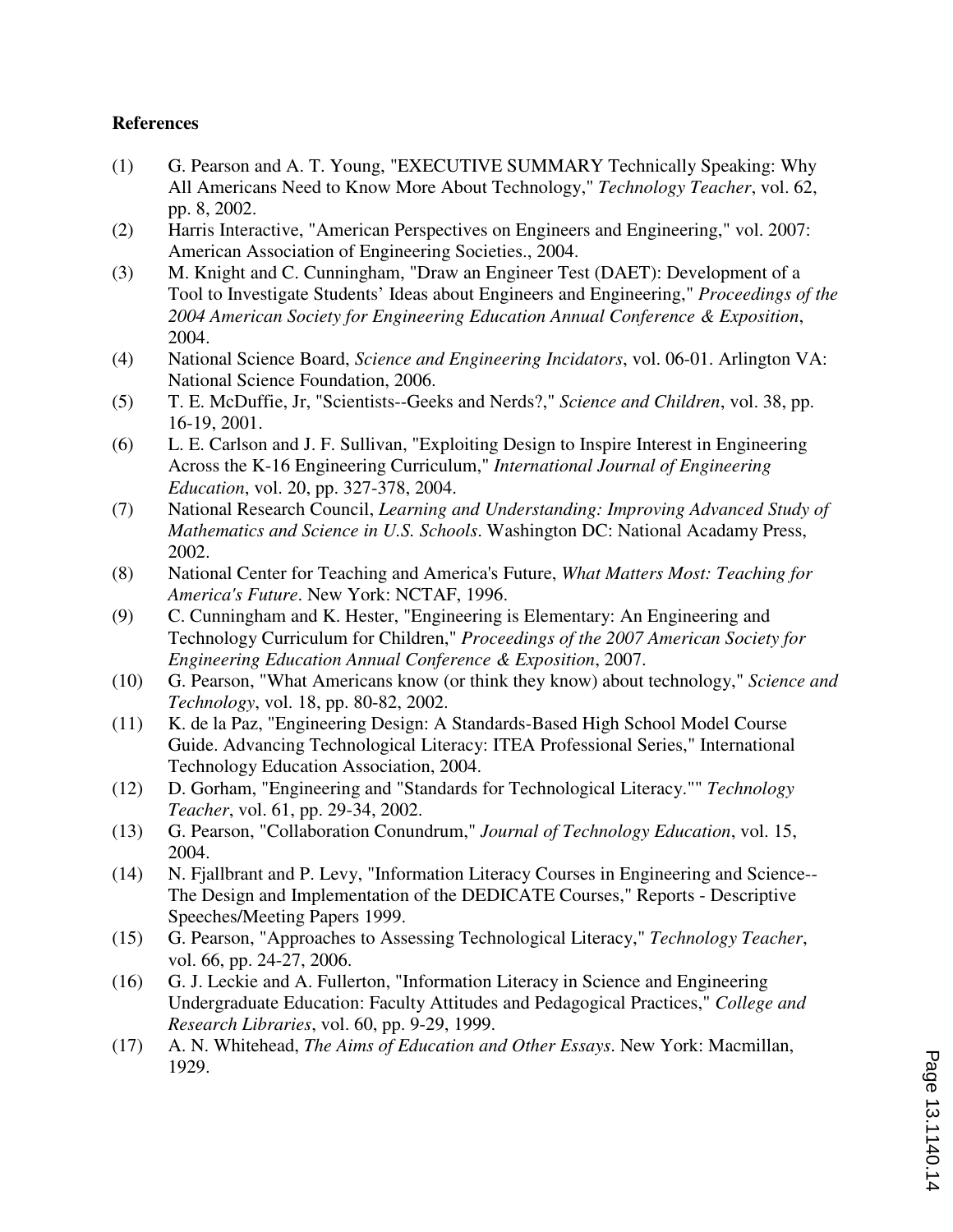#### **References**

- (1) G. Pearson and A. T. Young, "EXECUTIVE SUMMARY Technically Speaking: Why All Americans Need to Know More About Technology," *Technology Teacher*, vol. 62, pp. 8, 2002.
- (2) Harris Interactive, "American Perspectives on Engineers and Engineering," vol. 2007: American Association of Engineering Societies., 2004.
- (3) M. Knight and C. Cunningham, "Draw an Engineer Test (DAET): Development of a Tool to Investigate Students' Ideas about Engineers and Engineering," *Proceedings of the 2004 American Society for Engineering Education Annual Conference & Exposition*, 2004.
- (4) National Science Board, *Science and Engineering Incidators*, vol. 06-01. Arlington VA: National Science Foundation, 2006.
- (5) T. E. McDuffie, Jr, "Scientists--Geeks and Nerds?," *Science and Children*, vol. 38, pp. 16-19, 2001.
- (6) L. E. Carlson and J. F. Sullivan, "Exploiting Design to Inspire Interest in Engineering Across the K-16 Engineering Curriculum," *International Journal of Engineering Education*, vol. 20, pp. 327-378, 2004.
- (7) National Research Council, *Learning and Understanding: Improving Advanced Study of Mathematics and Science in U.S. Schools*. Washington DC: National Acadamy Press, 2002.
- (8) National Center for Teaching and America's Future, *What Matters Most: Teaching for America's Future*. New York: NCTAF, 1996.
- (9) C. Cunningham and K. Hester, "Engineering is Elementary: An Engineering and Technology Curriculum for Children," *Proceedings of the 2007 American Society for Engineering Education Annual Conference & Exposition*, 2007.
- (10) G. Pearson, "What Americans know (or think they know) about technology," *Science and Technology*, vol. 18, pp. 80-82, 2002.
- (11) K. de la Paz, "Engineering Design: A Standards-Based High School Model Course Guide. Advancing Technological Literacy: ITEA Professional Series," International Technology Education Association, 2004.
- (12) D. Gorham, "Engineering and "Standards for Technological Literacy."" *Technology Teacher*, vol. 61, pp. 29-34, 2002.
- (13) G. Pearson, "Collaboration Conundrum," *Journal of Technology Education*, vol. 15, 2004.
- (14) N. Fjallbrant and P. Levy, "Information Literacy Courses in Engineering and Science-- The Design and Implementation of the DEDICATE Courses," Reports - Descriptive Speeches/Meeting Papers 1999.
- (15) G. Pearson, "Approaches to Assessing Technological Literacy," *Technology Teacher*, vol. 66, pp. 24-27, 2006.
- (16) G. J. Leckie and A. Fullerton, "Information Literacy in Science and Engineering Undergraduate Education: Faculty Attitudes and Pedagogical Practices," *College and Research Libraries*, vol. 60, pp. 9-29, 1999.
- (17) A. N. Whitehead, *The Aims of Education and Other Essays*. New York: Macmillan, 1929.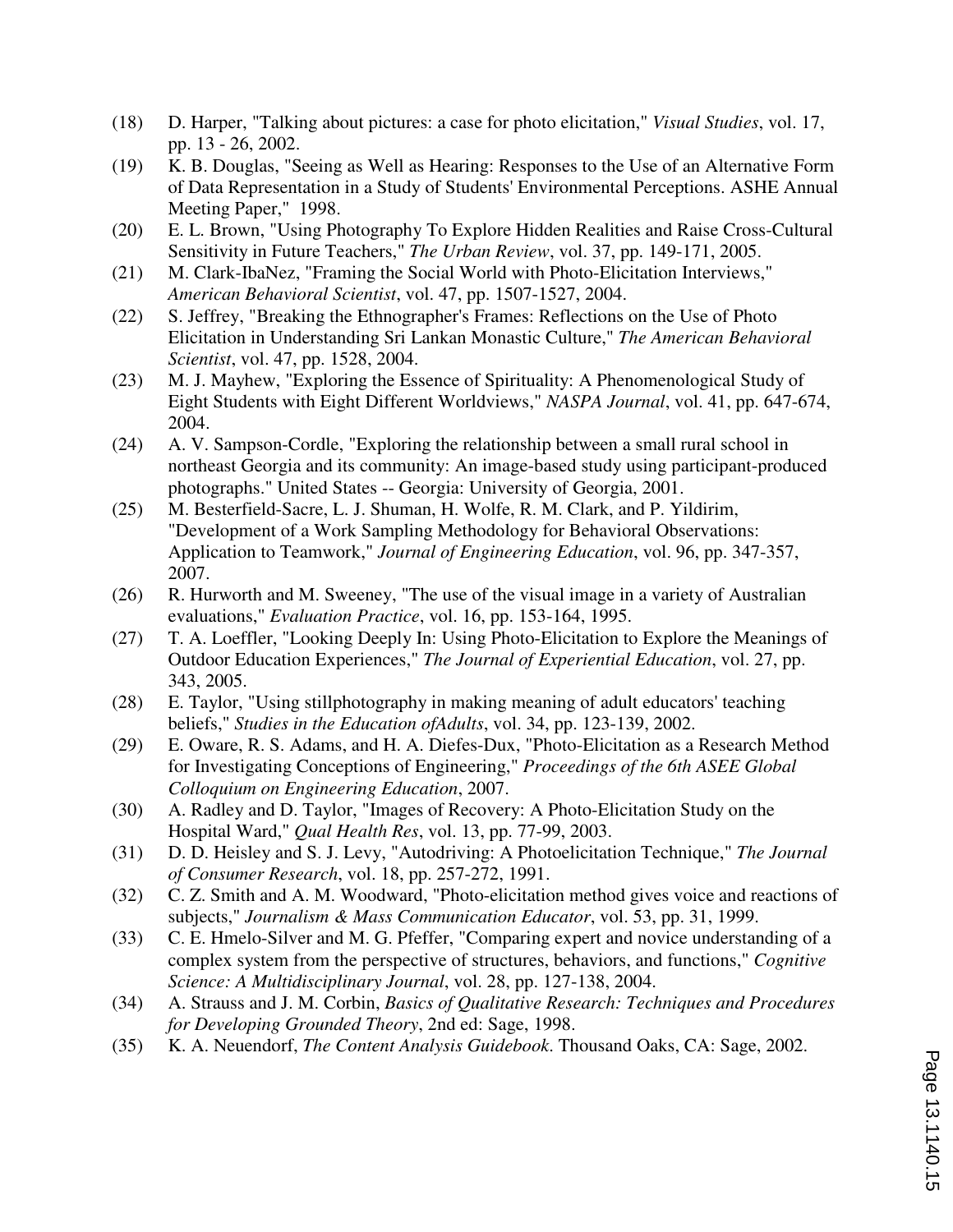- (18) D. Harper, "Talking about pictures: a case for photo elicitation," *Visual Studies*, vol. 17, pp. 13 - 26, 2002.
- (19) K. B. Douglas, "Seeing as Well as Hearing: Responses to the Use of an Alternative Form of Data Representation in a Study of Students' Environmental Perceptions. ASHE Annual Meeting Paper," 1998.
- (20) E. L. Brown, "Using Photography To Explore Hidden Realities and Raise Cross-Cultural Sensitivity in Future Teachers," *The Urban Review*, vol. 37, pp. 149-171, 2005.
- (21) M. Clark-IbaNez, "Framing the Social World with Photo-Elicitation Interviews," *American Behavioral Scientist*, vol. 47, pp. 1507-1527, 2004.
- (22) S. Jeffrey, "Breaking the Ethnographer's Frames: Reflections on the Use of Photo Elicitation in Understanding Sri Lankan Monastic Culture," *The American Behavioral Scientist*, vol. 47, pp. 1528, 2004.
- (23) M. J. Mayhew, "Exploring the Essence of Spirituality: A Phenomenological Study of Eight Students with Eight Different Worldviews," *NASPA Journal*, vol. 41, pp. 647-674, 2004.
- (24) A. V. Sampson-Cordle, "Exploring the relationship between a small rural school in northeast Georgia and its community: An image-based study using participant-produced photographs." United States -- Georgia: University of Georgia, 2001.
- (25) M. Besterfield-Sacre, L. J. Shuman, H. Wolfe, R. M. Clark, and P. Yildirim, "Development of a Work Sampling Methodology for Behavioral Observations: Application to Teamwork," *Journal of Engineering Education*, vol. 96, pp. 347-357, 2007.
- (26) R. Hurworth and M. Sweeney, "The use of the visual image in a variety of Australian evaluations," *Evaluation Practice*, vol. 16, pp. 153-164, 1995.
- (27) T. A. Loeffler, "Looking Deeply In: Using Photo-Elicitation to Explore the Meanings of Outdoor Education Experiences," *The Journal of Experiential Education*, vol. 27, pp. 343, 2005.
- (28) E. Taylor, "Using stillphotography in making meaning of adult educators' teaching beliefs," *Studies in the Education ofAdults*, vol. 34, pp. 123-139, 2002.
- (29) E. Oware, R. S. Adams, and H. A. Diefes-Dux, "Photo-Elicitation as a Research Method for Investigating Conceptions of Engineering," *Proceedings of the 6th ASEE Global Colloquium on Engineering Education*, 2007.
- (30) A. Radley and D. Taylor, "Images of Recovery: A Photo-Elicitation Study on the Hospital Ward," *Qual Health Res*, vol. 13, pp. 77-99, 2003.
- (31) D. D. Heisley and S. J. Levy, "Autodriving: A Photoelicitation Technique," *The Journal of Consumer Research*, vol. 18, pp. 257-272, 1991.
- (32) C. Z. Smith and A. M. Woodward, "Photo-elicitation method gives voice and reactions of subjects," *Journalism & Mass Communication Educator*, vol. 53, pp. 31, 1999.
- (33) C. E. Hmelo-Silver and M. G. Pfeffer, "Comparing expert and novice understanding of a complex system from the perspective of structures, behaviors, and functions," *Cognitive Science: A Multidisciplinary Journal*, vol. 28, pp. 127-138, 2004.
- (34) A. Strauss and J. M. Corbin, *Basics of Qualitative Research: Techniques and Procedures for Developing Grounded Theory*, 2nd ed: Sage, 1998.
- (35) K. A. Neuendorf, *The Content Analysis Guidebook*. Thousand Oaks, CA: Sage, 2002.